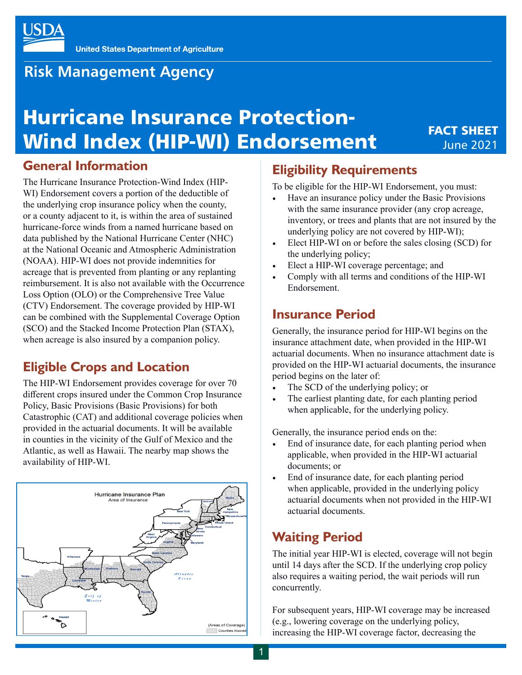

## **Risk Management Agency**

# Hurricane Insurance Protection-Wind Index (HIP-WI) Endorsement

## FACT SHEET June 2021

## **General Information**

The Hurricane Insurance Protection-Wind Index (HIP-WI) Endorsement covers a portion of the deductible of the underlying crop insurance policy when the county, or a county adjacent to it, is within the area of sustained hurricane-force winds from a named hurricane based on data published by the National Hurricane Center (NHC) at the National Oceanic and Atmospheric Administration (NOAA). HIP-WI does not provide indemnities for acreage that is prevented from planting or any replanting reimbursement. It is also not available with the Occurrence Loss Option (OLO) or the Comprehensive Tree Value (CTV) Endorsement. The coverage provided by HIP-WI can be combined with the Supplemental Coverage Option (SCO) and the Stacked Income Protection Plan (STAX), when acreage is also insured by a companion policy.

## **Eligible Crops and Location**

The HIP-WI Endorsement provides coverage for over 70 different crops insured under the Common Crop Insurance Policy, Basic Provisions (Basic Provisions) for both Catastrophic (CAT) and additional coverage policies when provided in the actuarial documents. It will be available in counties in the vicinity of the Gulf of Mexico and the Atlantic, as well as Hawaii. The nearby map shows the availability of HIP-WI.



## **Eligibility Requirements**

To be eligible for the HIP-WI Endorsement, you must:

- Have an insurance policy under the Basic Provisions with the same insurance provider (any crop acreage, inventory, or trees and plants that are not insured by the underlying policy are not covered by HIP-WI);
- Elect HIP-WI on or before the sales closing (SCD) for the underlying policy;
- Elect a HIP-WI coverage percentage; and
- Comply with all terms and conditions of the HIP-WI Endorsement.

## **Insurance Period**

Generally, the insurance period for HIP-WI begins on the insurance attachment date, when provided in the HIP-WI actuarial documents. When no insurance attachment date is provided on the HIP-WI actuarial documents, the insurance period begins on the later of:

- The SCD of the underlying policy; or
- The earliest planting date, for each planting period when applicable, for the underlying policy.

Generally, the insurance period ends on the:

- End of insurance date, for each planting period when applicable, when provided in the HIP-WI actuarial documents; or
- End of insurance date, for each planting period when applicable, provided in the underlying policy actuarial documents when not provided in the HIP-WI actuarial documents.

## **Waiting Period**

The initial year HIP-WI is elected, coverage will not begin until 14 days after the SCD. If the underlying crop policy also requires a waiting period, the wait periods will run concurrently.

For subsequent years, HIP-WI coverage may be increased (e.g., lowering coverage on the underlying policy, increasing the HIP-WI coverage factor, decreasing the